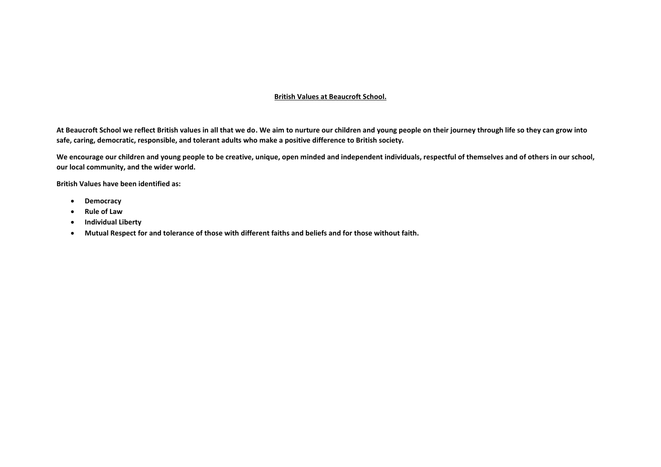## **British Values at Beaucroft School.**

**At Beaucroft School we reflect British values in all that we do. We aim to nurture our children and young people on their journey through life so they can grow into safe, caring, democratic, responsible, and tolerant adults who make a positive difference to British society.** 

**We encourage our children and young people to be creative, unique, open minded and independent individuals, respectful of themselves and of others in our school, our local community, and the wider world.** 

**British Values have been identified as:** 

- **Democracy**
- **Rule of Law**
- **Individual Liberty**
- **Mutual Respect for and tolerance of those with different faiths and beliefs and for those without faith.**